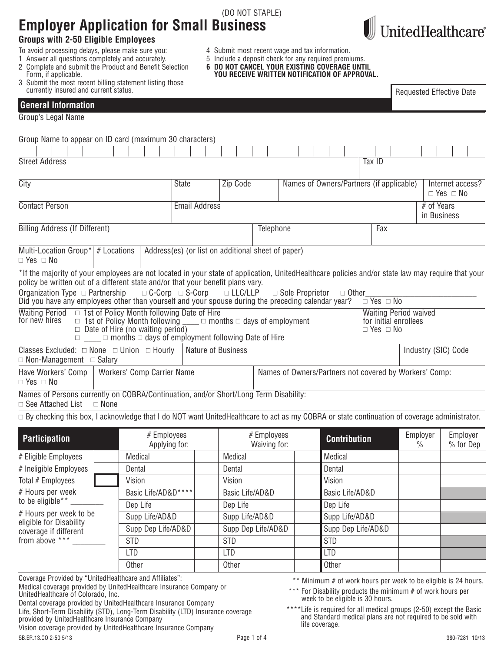| <b>Employer Application for Small Business</b><br><b>Groups with 2-50 Eligible Employees</b>                                                                                                                                                                                                   |                                                                                                                                                                                                        |                             |                                                                                                                                                                                                         |                             |                   |                                                        |              |                      |                                                       |                           | UnitedHealthcare®                        |
|------------------------------------------------------------------------------------------------------------------------------------------------------------------------------------------------------------------------------------------------------------------------------------------------|--------------------------------------------------------------------------------------------------------------------------------------------------------------------------------------------------------|-----------------------------|---------------------------------------------------------------------------------------------------------------------------------------------------------------------------------------------------------|-----------------------------|-------------------|--------------------------------------------------------|--------------|----------------------|-------------------------------------------------------|---------------------------|------------------------------------------|
| To avoid processing delays, please make sure you:<br>1 Answer all questions completely and accurately.<br>2 Complete and submit the Product and Benefit Selection<br>Form, if applicable.<br>3 Submit the most recent billing statement listing those<br>currently insured and current status. |                                                                                                                                                                                                        |                             | 4 Submit most recent wage and tax information.<br>5 Include a deposit check for any required premiums.<br>6 DO NOT CANCEL YOUR EXISTING COVERAGE UNTIL<br>YOU RECEIVE WRITTEN NOTIFICATION OF APPROVAL. |                             |                   |                                                        |              |                      |                                                       |                           | <b>Requested Effective Date</b>          |
| <b>General Information</b>                                                                                                                                                                                                                                                                     |                                                                                                                                                                                                        |                             |                                                                                                                                                                                                         |                             |                   |                                                        |              |                      |                                                       |                           |                                          |
| Group's Legal Name                                                                                                                                                                                                                                                                             |                                                                                                                                                                                                        |                             |                                                                                                                                                                                                         |                             |                   |                                                        |              |                      |                                                       |                           |                                          |
| Group Name to appear on ID card (maximum 30 characters)                                                                                                                                                                                                                                        |                                                                                                                                                                                                        |                             |                                                                                                                                                                                                         |                             |                   |                                                        |              |                      |                                                       |                           |                                          |
|                                                                                                                                                                                                                                                                                                |                                                                                                                                                                                                        |                             |                                                                                                                                                                                                         |                             |                   |                                                        |              |                      |                                                       |                           |                                          |
| <b>Street Address</b>                                                                                                                                                                                                                                                                          |                                                                                                                                                                                                        |                             |                                                                                                                                                                                                         |                             |                   |                                                        | Tax ID       |                      |                                                       |                           |                                          |
| City                                                                                                                                                                                                                                                                                           |                                                                                                                                                                                                        | <b>State</b>                | Zip Code                                                                                                                                                                                                |                             |                   | Names of Owners/Partners (if applicable)               |              |                      |                                                       |                           | Internet access?<br>$\Box$ Yes $\Box$ No |
| <b>Contact Person</b>                                                                                                                                                                                                                                                                          |                                                                                                                                                                                                        | <b>Email Address</b>        |                                                                                                                                                                                                         |                             |                   |                                                        |              |                      |                                                       | # of Years<br>in Business |                                          |
| <b>Billing Address (If Different)</b>                                                                                                                                                                                                                                                          |                                                                                                                                                                                                        |                             |                                                                                                                                                                                                         | Telephone                   |                   |                                                        |              | Fax                  |                                                       |                           |                                          |
| Multi-Location Group <sup>*</sup> $\#$ Locations<br>$\Box$ Yes $\Box$ No                                                                                                                                                                                                                       |                                                                                                                                                                                                        |                             | Address(es) (or list on additional sheet of paper)                                                                                                                                                      |                             |                   |                                                        |              |                      |                                                       |                           |                                          |
| *If the majority of your employees are not located in your state of application, UnitedHealthcare policies and/or state law may require that your<br>policy be written out of a different state and/or that your benefit plans vary.                                                           |                                                                                                                                                                                                        |                             |                                                                                                                                                                                                         |                             |                   |                                                        |              |                      |                                                       |                           |                                          |
| Did you have any employees other than yourself and your spouse during the preceding calendar year?                                                                                                                                                                                             |                                                                                                                                                                                                        | $\Box$ C-Corp $\Box$ S-Corp | $\Box$ LLC/LLP                                                                                                                                                                                          |                             | □ Sole Proprietor |                                                        | $\Box$ Other | $\Box$ Yes $\Box$ No |                                                       |                           |                                          |
| <b>Waiting Period</b><br>for new hires                                                                                                                                                                                                                                                         | $\Box$ 1st of Policy Month following Date of Hire<br>$\Box$ 1st of Policy Month following<br>$\Box$ Date of Hire (no waiting period)<br>$\Box$ months $\Box$ days of employment following Date of Hire |                             | $\Box$ months $\Box$ days of employment                                                                                                                                                                 |                             |                   |                                                        |              | $\Box$ Yes $\Box$ No | <b>Waiting Period waived</b><br>for initial enrollees |                           |                                          |
| Classes Excluded: $\Box$ None $\Box$ Union $\Box$ Hourly<br>$\Box$ Non-Management $\Box$ Salary                                                                                                                                                                                                |                                                                                                                                                                                                        |                             | <b>Nature of Business</b>                                                                                                                                                                               |                             |                   |                                                        |              |                      |                                                       |                           | Industry (SIC) Code                      |
| Have Workers' Comp<br>$\Box$ Yes $\Box$ No                                                                                                                                                                                                                                                     | Workers' Comp Carrier Name                                                                                                                                                                             |                             |                                                                                                                                                                                                         |                             |                   | Names of Owners/Partners not covered by Workers' Comp: |              |                      |                                                       |                           |                                          |
| Names of Persons currently on COBRA/Continuation, and/or Short/Long Term Disability:<br>□ See Attached List                                                                                                                                                                                    | $\Box$ None                                                                                                                                                                                            |                             |                                                                                                                                                                                                         |                             |                   |                                                        |              |                      |                                                       |                           |                                          |
| $\Box$ By checking this box, I acknowledge that I do NOT want UnitedHealthcare to act as my COBRA or state continuation of coverage administrator.                                                                                                                                             |                                                                                                                                                                                                        |                             |                                                                                                                                                                                                         |                             |                   |                                                        |              |                      |                                                       |                           |                                          |
| <b>Participation</b>                                                                                                                                                                                                                                                                           | # Employees                                                                                                                                                                                            | Applying for:               |                                                                                                                                                                                                         | # Employees<br>Waiving for: |                   | <b>Contribution</b>                                    |              |                      |                                                       | Employer<br>$\frac{0}{0}$ | Employer<br>% for Dep                    |
| # Eligible Employees                                                                                                                                                                                                                                                                           | Medical                                                                                                                                                                                                |                             | Medical                                                                                                                                                                                                 |                             |                   | Medical                                                |              |                      |                                                       |                           |                                          |
| # Ineligible Employees                                                                                                                                                                                                                                                                         | Dental                                                                                                                                                                                                 |                             | Dental                                                                                                                                                                                                  |                             |                   | Dental                                                 |              |                      |                                                       |                           |                                          |
| Total # Employees                                                                                                                                                                                                                                                                              | Vision                                                                                                                                                                                                 |                             | Vision                                                                                                                                                                                                  |                             |                   | Vision                                                 |              |                      |                                                       |                           |                                          |
| # Hours per week                                                                                                                                                                                                                                                                               | Basic Life/AD&D****                                                                                                                                                                                    |                             | Basic Life/AD&D                                                                                                                                                                                         |                             |                   | Basic Life/AD&D                                        |              |                      |                                                       |                           |                                          |
| to be eligible**                                                                                                                                                                                                                                                                               | Dep Life                                                                                                                                                                                               |                             | Dep Life                                                                                                                                                                                                |                             |                   | Dep Life                                               |              |                      |                                                       |                           |                                          |
| # Hours per week to be<br>eligible for Disability                                                                                                                                                                                                                                              | Supp Life/AD&D                                                                                                                                                                                         |                             | Supp Life/AD&D                                                                                                                                                                                          |                             |                   | Supp Life/AD&D                                         |              |                      |                                                       |                           |                                          |
| coverage if different                                                                                                                                                                                                                                                                          | Supp Dep Life/AD&D                                                                                                                                                                                     |                             |                                                                                                                                                                                                         | Supp Dep Life/AD&D          |                   | Supp Dep Life/AD&D                                     |              |                      |                                                       |                           |                                          |
| from above ***                                                                                                                                                                                                                                                                                 | <b>STD</b>                                                                                                                                                                                             |                             | <b>STD</b>                                                                                                                                                                                              |                             |                   | <b>STD</b>                                             |              |                      |                                                       |                           |                                          |

(DO NOT STAPLE)

Coverage Provided by "UnitedHealthcare and Affiliates":

Medical coverage provided by UnitedHealthcare Insurance Company or UnitedHealthcare of Colorado, Inc.

Dental coverage provided by UnitedHealthcare Insurance Company

Life, Short-Term Disability (STD), Long-Term Disability (LTD) Insurance coverage provided by UnitedHealthcare Insurance Company

Vision coverage provided by UnitedHealthcare Insurance Company

LTD LTD LTD Other Other Other

\*\* Minimum # of work hours per week to be eligible is 24 hours.

\*\*\* For Disability products the minimum # of work hours per week to be eligible is 30 hours.

\*\*\*\*Life is required for all medical groups (2-50) except the Basic and Standard medical plans are not required to be sold with life coverage.

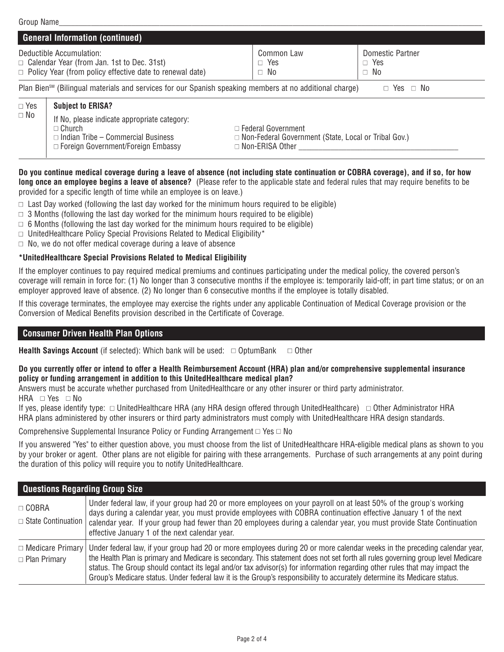|            | <b>General Information (continued)</b>                                                                                                                  |                                                                                                                    |  |                      |  |
|------------|---------------------------------------------------------------------------------------------------------------------------------------------------------|--------------------------------------------------------------------------------------------------------------------|--|----------------------|--|
|            | Deductible Accumulation:<br>$\Box$ Calendar Year (from Jan. 1st to Dec. 31st)<br>$\Box$ Policy Year (from policy effective date to renewal date)        | Domestic Partner<br>Common Law<br>$\Box$ Yes<br>$\Box$ Yes<br>$\Box$ No<br>$\Box$ No                               |  |                      |  |
|            | Plan Bien <sup>sM</sup> (Bilingual materials and services for our Spanish speaking members at no additional charge)                                     |                                                                                                                    |  | $\Box$ Yes $\Box$ No |  |
| $\Box$ Yes | <b>Subject to ERISA?</b>                                                                                                                                |                                                                                                                    |  |                      |  |
| $\Box$ No  | If No, please indicate appropriate category:<br>$\Box$ Church<br>$\Box$ Indian Tribe – Commercial Business<br>$\Box$ Foreign Government/Foreign Embassy | $\Box$ Federal Government<br>$\Box$ Non-Federal Government (State, Local or Tribal Gov.)<br>$\Box$ Non-ERISA Other |  |                      |  |

Do you continue medical coverage during a leave of absence (not including state continuation or COBRA coverage), and if so, for how **long once an employee begins a leave of absence?** (Please refer to the applicable state and federal rules that may require benefits to be provided for a specific length of time while an employee is on leave.)

 $\Box$  Last Day worked (following the last day worked for the minimum hours required to be eligible)

- $\Box$  3 Months (following the last day worked for the minimum hours required to be eligible)
- $\Box$  6 Months (following the last day worked for the minimum hours required to be eligible)
- $\Box$  UnitedHealthcare Policy Special Provisions Related to Medical Eligibility\*
- $\Box$  No, we do not offer medical coverage during a leave of absence

# **\*UnitedHealthcare Special Provisions Related to Medical Eligibility**

If the employer continues to pay required medical premiums and continues participating under the medical policy, the covered person's coverage will remain in force for: (1) No longer than 3 consecutive months if the employee is: temporarily laid-off; in part time status; or on an employer approved leave of absence. (2) No longer than 6 consecutive months if the employee is totally disabled.

If this coverage terminates, the employee may exercise the rights under any applicable Continuation of Medical Coverage provision or the Conversion of Medical Benefits provision described in the Certificate of Coverage.

# **Consumer Driven Health Plan Options**

**Health Savings Account** (if selected): Which bank will be used:  $\Box$  OptumBank  $\Box$  Other

#### Do you currently offer or intend to offer a Health Reimbursement Account (HRA) plan and/or comprehensive supplemental insurance **policy or funding arrangement in addition to this UnitedHealthcare medical plan?**

Answers must be accurate whether purchased from UnitedHealthcare or any other insurer or third party administrator.

HRA □ Yes □ No

If yes, please identify type:  $\Box$  UnitedHealthcare HRA (any HRA design offered through UnitedHealthcare)  $\Box$  Other Administrator HRA HRA plans administered by other insurers or third party administrators must comply with UnitedHealthcare HRA design standards.

Comprehensive Supplemental Insurance Policy or Funding Arrangement  $\Box$  Yes  $\Box$  No

If you answered "Yes" to either question above, you must choose from the list of UnitedHealthcare HRA-eligible medical plans as shown to you by your broker or agent. Other plans are not eligible for pairing with these arrangements. Purchase of such arrangements at any point during the duration of this policy will require you to notify UnitedHealthcare.

| <b>Questions Regarding Group Size</b>                 |                                                                                                                                                                                                                                                                                                                                                                                                                                                                                                                          |
|-------------------------------------------------------|--------------------------------------------------------------------------------------------------------------------------------------------------------------------------------------------------------------------------------------------------------------------------------------------------------------------------------------------------------------------------------------------------------------------------------------------------------------------------------------------------------------------------|
| $\Box$ COBRA<br>$\Box$ State Continuation $\parallel$ | Under federal law, if your group had 20 or more employees on your payroll on at least 50% of the group's working<br>days during a calendar year, you must provide employees with COBRA continuation effective January 1 of the next<br>calendar year. If your group had fewer than 20 employees during a calendar year, you must provide State Continuation<br>effective January 1 of the next calendar year.                                                                                                            |
| $\Box$ Medicare Primary<br>$\Box$ Plan Primary        | Under federal law, if your group had 20 or more employees during 20 or more calendar weeks in the preceding calendar year,<br>the Health Plan is primary and Medicare is secondary. This statement does not set forth all rules governing group level Medicare<br>status. The Group should contact its legal and/or tax advisor(s) for information regarding other rules that may impact the<br>Group's Medicare status. Under federal law it is the Group's responsibility to accurately determine its Medicare status. |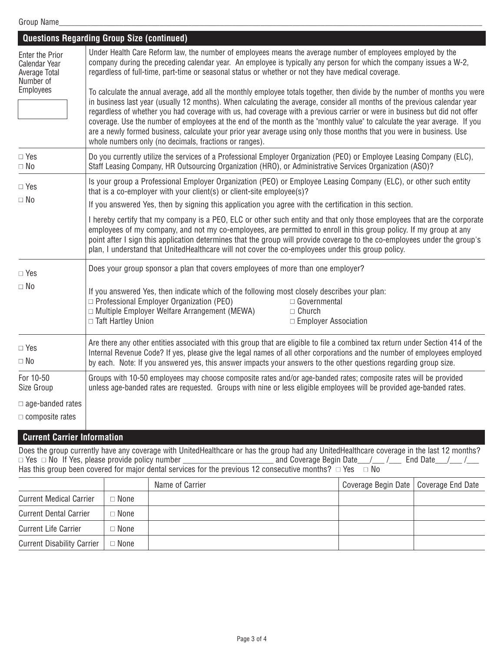|                                                                       | <b>Questions Regarding Group Size (continued)</b>                                                                                                                                                                                                                                                                                                                                                                                                                                                                                                                                                                                                                                                        |  |  |  |  |
|-----------------------------------------------------------------------|----------------------------------------------------------------------------------------------------------------------------------------------------------------------------------------------------------------------------------------------------------------------------------------------------------------------------------------------------------------------------------------------------------------------------------------------------------------------------------------------------------------------------------------------------------------------------------------------------------------------------------------------------------------------------------------------------------|--|--|--|--|
| <b>Enter the Prior</b><br>Calendar Year<br>Average Total<br>Number of | Under Health Care Reform law, the number of employees means the average number of employees employed by the<br>company during the preceding calendar year. An employee is typically any person for which the company issues a W-2,<br>regardless of full-time, part-time or seasonal status or whether or not they have medical coverage.                                                                                                                                                                                                                                                                                                                                                                |  |  |  |  |
| Employees                                                             | To calculate the annual average, add all the monthly employee totals together, then divide by the number of months you were<br>in business last year (usually 12 months). When calculating the average, consider all months of the previous calendar year<br>regardless of whether you had coverage with us, had coverage with a previous carrier or were in business but did not offer<br>coverage. Use the number of employees at the end of the month as the "monthly value" to calculate the year average. If you<br>are a newly formed business, calculate your prior year average using only those months that you were in business. Use<br>whole numbers only (no decimals, fractions or ranges). |  |  |  |  |
| $\Box$ Yes<br>$\Box$ No                                               | Do you currently utilize the services of a Professional Employer Organization (PEO) or Employee Leasing Company (ELC),<br>Staff Leasing Company, HR Outsourcing Organization (HRO), or Administrative Services Organization (ASO)?                                                                                                                                                                                                                                                                                                                                                                                                                                                                       |  |  |  |  |
| $\Box$ Yes                                                            | Is your group a Professional Employer Organization (PEO) or Employee Leasing Company (ELC), or other such entity<br>that is a co-employer with your client(s) or client-site employee(s)?                                                                                                                                                                                                                                                                                                                                                                                                                                                                                                                |  |  |  |  |
| $\Box$ No                                                             | If you answered Yes, then by signing this application you agree with the certification in this section.                                                                                                                                                                                                                                                                                                                                                                                                                                                                                                                                                                                                  |  |  |  |  |
|                                                                       | I hereby certify that my company is a PEO, ELC or other such entity and that only those employees that are the corporate<br>employees of my company, and not my co-employees, are permitted to enroll in this group policy. If my group at any<br>point after I sign this application determines that the group will provide coverage to the co-employees under the group's<br>plan, I understand that UnitedHealthcare will not cover the co-employees under this group policy.                                                                                                                                                                                                                         |  |  |  |  |
| $\Box$ Yes                                                            | Does your group sponsor a plan that covers employees of more than one employer?                                                                                                                                                                                                                                                                                                                                                                                                                                                                                                                                                                                                                          |  |  |  |  |
| $\Box$ No                                                             | If you answered Yes, then indicate which of the following most closely describes your plan:<br>$\Box$ Professional Employer Organization (PEO)<br>$\Box$ Governmental<br>$\Box$ Multiple Employer Welfare Arrangement (MEWA)<br>$\Box$ Church<br>□ Taft Hartley Union<br>□ Employer Association                                                                                                                                                                                                                                                                                                                                                                                                          |  |  |  |  |
| $\Box$ Yes<br>$\Box$ No                                               | Are there any other entities associated with this group that are eligible to file a combined tax return under Section 414 of the<br>Internal Revenue Code? If yes, please give the legal names of all other corporations and the number of employees employed<br>by each. Note: If you answered yes, this answer impacts your answers to the other questions regarding group size.                                                                                                                                                                                                                                                                                                                       |  |  |  |  |
| For 10-50<br>Size Group                                               | Groups with 10-50 employees may choose composite rates and/or age-banded rates; composite rates will be provided<br>unless age-banded rates are requested. Groups with nine or less eligible employees will be provided age-banded rates.                                                                                                                                                                                                                                                                                                                                                                                                                                                                |  |  |  |  |
| $\Box$ age-banded rates                                               |                                                                                                                                                                                                                                                                                                                                                                                                                                                                                                                                                                                                                                                                                                          |  |  |  |  |
| $\Box$ composite rates                                                |                                                                                                                                                                                                                                                                                                                                                                                                                                                                                                                                                                                                                                                                                                          |  |  |  |  |
| <b>Current Carrier Information</b>                                    |                                                                                                                                                                                                                                                                                                                                                                                                                                                                                                                                                                                                                                                                                                          |  |  |  |  |

Does the group currently have any coverage with UnitedHealthcare or has the group had any UnitedHealthcare coverage in the last 12 months? Yes No If Yes, please provide policy number \_\_\_\_\_\_\_\_\_\_\_\_\_\_\_\_\_\_\_\_\_\_ and Coverage Begin Date\_\_\_/\_\_\_ /\_\_\_ End Date\_\_\_/\_\_\_ /\_\_\_ Has this group been covered for major dental services for the previous 12 consecutive months?  $\ \square$  Yes  $\ \ \square$  No

|                                   |             | Name of Carrier | Coverage Begin Date   Coverage End Date |  |
|-----------------------------------|-------------|-----------------|-----------------------------------------|--|
| <b>Current Medical Carrier</b>    | $\Box$ None |                 |                                         |  |
| <b>Current Dental Carrier</b>     | $\Box$ None |                 |                                         |  |
| <b>Current Life Carrier</b>       | $\Box$ None |                 |                                         |  |
| <b>Current Disability Carrier</b> | $\Box$ None |                 |                                         |  |